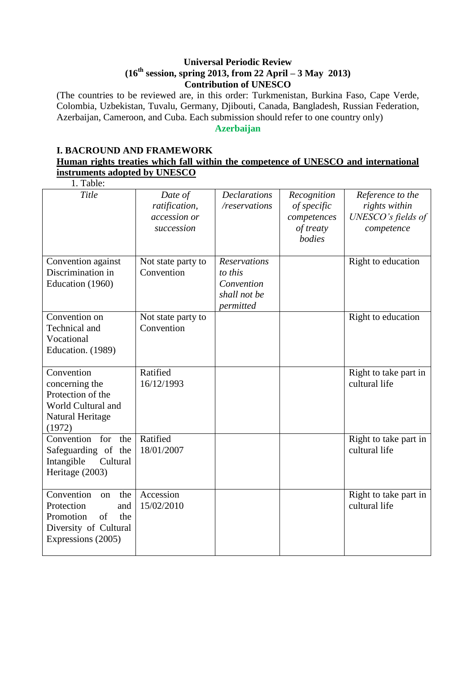#### **Universal Periodic Review (16th session, spring 2013, from 22 April – 3 May 2013) Contribution of UNESCO**

(The countries to be reviewed are, in this order: Turkmenistan, Burkina Faso, Cape Verde, Colombia, Uzbekistan, Tuvalu, Germany, Djibouti, Canada, Bangladesh, Russian Federation, Azerbaijan, Cameroon, and Cuba. Each submission should refer to one country only)

#### **Azerbaijan**

## **I. BACROUND AND FRAMEWORK Human rights treaties which fall within the competence of UNESCO and international instruments adopted by UNESCO**

| 1. Table:                                                                                                             |                                                        |                                                                           |                                                                  |                                                                       |
|-----------------------------------------------------------------------------------------------------------------------|--------------------------------------------------------|---------------------------------------------------------------------------|------------------------------------------------------------------|-----------------------------------------------------------------------|
| Title                                                                                                                 | Date of<br>ratification,<br>accession or<br>succession | <b>Declarations</b><br>/reservations                                      | Recognition<br>of specific<br>competences<br>of treaty<br>bodies | Reference to the<br>rights within<br>UNESCO's fields of<br>competence |
| Convention against<br>Discrimination in<br>Education (1960)                                                           | Not state party to<br>Convention                       | <b>Reservations</b><br>to this<br>Convention<br>shall not be<br>permitted |                                                                  | Right to education                                                    |
| Convention on<br>Technical and<br>Vocational<br>Education. (1989)                                                     | Not state party to<br>Convention                       |                                                                           |                                                                  | Right to education                                                    |
| Convention<br>concerning the<br>Protection of the<br>World Cultural and<br>Natural Heritage<br>(1972)                 | Ratified<br>16/12/1993                                 |                                                                           |                                                                  | Right to take part in<br>cultural life                                |
| Convention for<br>the<br>Safeguarding of the<br>Intangible<br>Cultural<br>Heritage (2003)                             | Ratified<br>18/01/2007                                 |                                                                           |                                                                  | Right to take part in<br>cultural life                                |
| Convention<br>the<br>on<br>Protection<br>and<br>Promotion<br>of<br>the<br>Diversity of Cultural<br>Expressions (2005) | Accession<br>15/02/2010                                |                                                                           |                                                                  | Right to take part in<br>cultural life                                |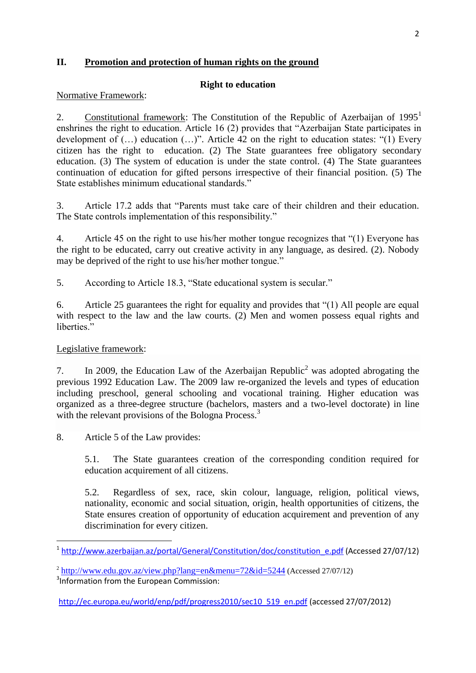## **II. Promotion and protection of human rights on the ground**

#### **Right to education**

Normative Framework:

2. Constitutional framework: The Constitution of the Republic of Azerbaijan of  $1995<sup>1</sup>$ enshrines the right to education. Article 16 (2) provides that "Azerbaijan State participates in development of (…) education (…)". Article 42 on the right to education states: "(1) Every citizen has the right to education. (2) The State guarantees free obligatory secondary education. (3) The system of education is under the state control. (4) The State guarantees continuation of education for gifted persons irrespective of their financial position. (5) The State establishes minimum educational standards."

3. Article 17.2 adds that "Parents must take care of their children and their education. The State controls implementation of this responsibility."

4. Article 45 on the right to use his/her mother tongue recognizes that "(1) Everyone has the right to be educated, carry out creative activity in any language, as desired. (2). Nobody may be deprived of the right to use his/her mother tongue."

5. According to Article 18.3, "State educational system is secular."

6. Article 25 guarantees the right for equality and provides that "(1) All people are equal with respect to the law and the law courts. (2) Men and women possess equal rights and liberties."

## Legislative framework:

**.** 

7. In 2009, the Education Law of the Azerbaijan Republic<sup>2</sup> was adopted abrogating the previous 1992 Education Law. The 2009 law re-organized the levels and types of education including preschool, general schooling and vocational training. Higher education was organized as a three-degree structure (bachelors, masters and a two-level doctorate) in line with the relevant provisions of the Bologna Process.<sup>3</sup>

8. Article 5 of the Law provides:

5.1. The State guarantees creation of the corresponding condition required for education acquirement of all citizens.

5.2. Regardless of sex, race, skin colour, language, religion, political views, nationality, economic and social situation, origin, health opportunities of citizens, the State ensures creation of opportunity of education acquirement and prevention of any discrimination for every citizen.

[http://ec.europa.eu/world/enp/pdf/progress2010/sec10\\_519\\_en.pdf](http://ec.europa.eu/world/enp/pdf/progress2010/sec10_519_en.pdf) (accessed 27/07/2012)

<sup>&</sup>lt;sup>1</sup> [http://www.azerbaijan.az/portal/General/Constitution/doc/constitution\\_e.pdf](http://www.azerbaijan.az/portal/General/Constitution/doc/constitution_e.pdf) (Accessed 27/07/12)

<sup>&</sup>lt;sup>2</sup> <http://www.edu.gov.az/view.php?lang=en&menu=72&id=5244> (Accessed 27/07/12)

<sup>&</sup>lt;sup>3</sup>Information from the European Commission: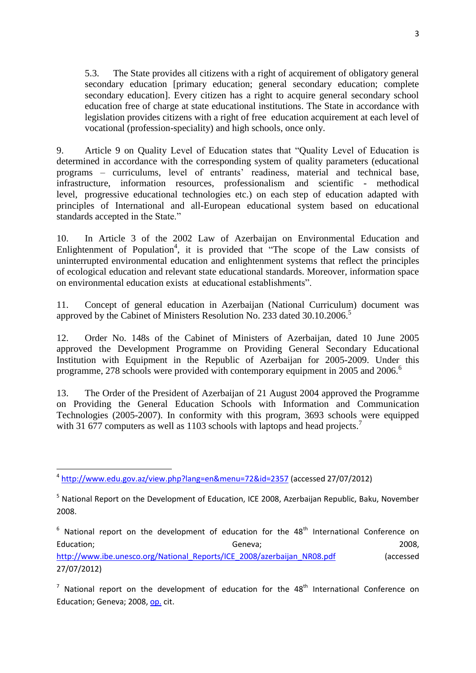5.3. The State provides all citizens with a right of acquirement of obligatory general secondary education [primary education; general secondary education; complete secondary education]. Every citizen has a right to acquire general secondary school education free of charge at state educational institutions. The State in accordance with legislation provides citizens with a right of free education acquirement at each level of vocational (profession-speciality) and high schools, once only.

9. Article 9 on Quality Level of Education states that "Quality Level of Education is determined in accordance with the corresponding system of quality parameters (educational programs – curriculums, level of entrants" readiness, material and technical base, infrastructure, information resources, professionalism and scientific - methodical level, progressive educational technologies etc.) on each step of education adapted with principles of International and all-European educational system based on educational standards accepted in the State."

10. In Article 3 of the 2002 Law of Azerbaijan on Environmental Education and Enlightenment of Population<sup>4</sup>, it is provided that "The scope of the Law consists of uninterrupted environmental education and enlightenment systems that reflect the principles of ecological education and relevant state educational standards. Moreover, information space on environmental education exists at educational establishments".

11. Concept of general education in Azerbaijan (National Curriculum) document was approved by the Cabinet of Ministers Resolution No. 233 dated 30.10.2006.<sup>5</sup>

12. Order No. 148s of the Cabinet of Ministers of Azerbaijan, dated 10 June 2005 approved the Development Programme on Providing General Secondary Educational Institution with Equipment in the Republic of Azerbaijan for 2005-2009. Under this programme, 278 schools were provided with contemporary equipment in 2005 and 2006.<sup>6</sup>

13. The Order of the President of Azerbaijan of 21 August 2004 approved the Programme on Providing the General Education Schools with Information and Communication Technologies (2005-2007). In conformity with this program, 3693 schools were equipped with 31 677 computers as well as 1103 schools with laptops and head projects.<sup>7</sup>

**.** 

 $6$  National report on the development of education for the  $48<sup>th</sup>$  International Conference on Education; and the control of Geneva; control of Geneva; control of the control of the control of the control of  $G$  and  $G$  and  $G$  and  $G$  and  $G$  and  $G$  and  $G$  and  $G$  and  $G$  and  $G$  and  $G$  and  $G$  and  $G$  and  $G$  a [http://www.ibe.unesco.org/National\\_Reports/ICE\\_2008/azerbaijan\\_NR08.pdf](http://www.ibe.unesco.org/National_Reports/ICE_2008/azerbaijan_NR08.pdf) (accessed 27/07/2012)

 $7$  National report on the development of education for the  $48<sup>th</sup>$  International Conference on Education; Geneva; 2008, [op.](http://www.ibe.unesco.org/National_Reports/ICE_2008/azerbaijan_NR08.pdf) cit.

<sup>4</sup> <http://www.edu.gov.az/view.php?lang=en&menu=72&id=2357> (accessed 27/07/2012)

<sup>&</sup>lt;sup>5</sup> National Report on the Development of Education, ICE 2008, Azerbaijan Republic, Baku, November 2008.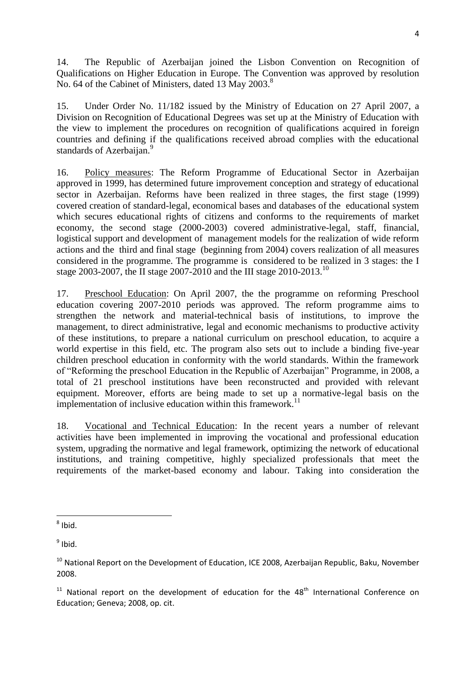14. The Republic of Azerbaijan joined the Lisbon Convention on Recognition of Qualifications on Higher Education in Europe. The Convention was approved by resolution No. 64 of the Cabinet of Ministers, dated 13 May 2003.<sup>8</sup>

15. Under Order No. 11/182 issued by the Ministry of Education on 27 April 2007, a Division on Recognition of Educational Degrees was set up at the Ministry of Education with the view to implement the procedures on recognition of qualifications acquired in foreign countries and defining if the qualifications received abroad complies with the educational standards of Azerbaijan.<sup>9</sup>

16. Policy measures: The Reform Programme of Educational Sector in Azerbaijan approved in 1999, has determined future improvement conception and strategy of educational sector in Azerbaijan. Reforms have been realized in three stages, the first stage (1999) covered creation of standard-legal, economical bases and databases of the educational system which secures educational rights of citizens and conforms to the requirements of market economy, the second stage (2000-2003) covered administrative-legal, staff, financial, logistical support and development of management models for the realization of wide reform actions and the third and final stage (beginning from 2004) covers realization of all measures considered in the programme. The programme is considered to be realized in 3 stages: the I stage 2003-2007, the II stage 2007-2010 and the III stage 2010-2013.<sup>10</sup>

17. Preschool Education: On April 2007, the the programme on reforming Preschool education covering 2007-2010 periods was approved. The reform programme aims to strengthen the network and material-technical basis of institutions, to improve the management, to direct administrative, legal and economic mechanisms to productive activity of these institutions, to prepare a national curriculum on preschool education, to acquire a world expertise in this field, etc. The program also sets out to include a binding five-year children preschool education in conformity with the world standards. Within the framework of "Reforming the preschool Education in the Republic of Azerbaijan" Programme, in 2008, a total of 21 preschool institutions have been reconstructed and provided with relevant equipment. Moreover, efforts are being made to set up a normative-legal basis on the implementation of inclusive education within this framework.<sup>11</sup>

18. Vocational and Technical Education: In the recent years a number of relevant activities have been implemented in improving the vocational and professional education system, upgrading the normative and legal framework, optimizing the network of educational institutions, and training competitive, highly specialized professionals that meet the requirements of the market-based economy and labour. Taking into consideration the

**.** 

 $<sup>9</sup>$  Ibid.</sup>

<sup>8</sup> Ibid.

<sup>&</sup>lt;sup>10</sup> National Report on the Development of Education, ICE 2008, Azerbaijan Republic, Baku, November 2008.

 $11$  National report on the development of education for the 48<sup>th</sup> International Conference on Education; Geneva; 2008, op. cit.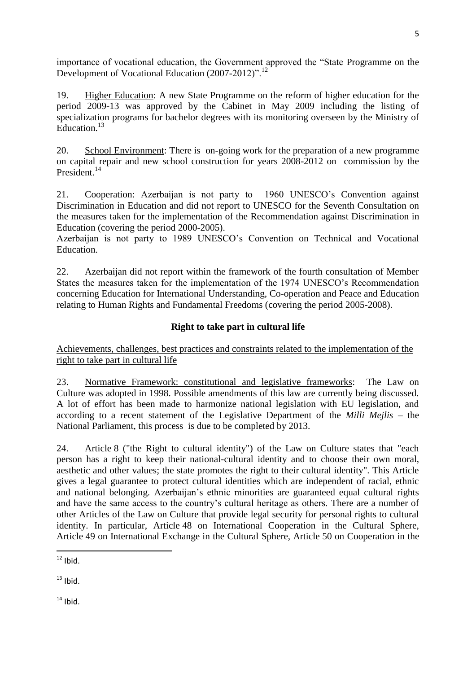importance of vocational education, the Government approved the "State Programme on the Development of Vocational Education (2007-2012)".<sup>12</sup>

19. Higher Education: A new State Programme on the reform of higher education for the period 2009-13 was approved by the Cabinet in May 2009 including the listing of specialization programs for bachelor degrees with its monitoring overseen by the Ministry of Education.<sup>13</sup>

20. School Environment: There is on-going work for the preparation of a new programme on capital repair and new school construction for years 2008-2012 on commission by the President.<sup>14</sup>

21. Cooperation: Azerbaijan is not party to 1960 UNESCO"s Convention against Discrimination in Education and did not report to UNESCO for the Seventh Consultation on the measures taken for the implementation of the Recommendation against Discrimination in Education (covering the period 2000-2005).

Azerbaijan is not party to 1989 UNESCO"s Convention on Technical and Vocational Education.

22. Azerbaijan did not report within the framework of the fourth consultation of Member States the measures taken for the implementation of the 1974 UNESCO"s Recommendation concerning Education for International Understanding, Co-operation and Peace and Education relating to Human Rights and Fundamental Freedoms (covering the period 2005-2008).

# **Right to take part in cultural life**

Achievements, challenges, best practices and constraints related to the implementation of the right to take part in cultural life

23. Normative Framework: constitutional and legislative frameworks: The Law on Culture was adopted in 1998. Possible amendments of this law are currently being discussed. A lot of effort has been made to harmonize national legislation with EU legislation, and according to a recent statement of the Legislative Department of the *Milli Mejlis* – the National Parliament, this process is due to be completed by 2013.

24. Article 8 ("the Right to cultural identity") of the Law on Culture states that "each person has a right to keep their national-cultural identity and to choose their own moral, aesthetic and other values; the state promotes the right to their cultural identity". This Article gives a legal guarantee to protect cultural identities which are independent of racial, ethnic and national belonging. Azerbaijan"s ethnic minorities are guaranteed equal cultural rights and have the same access to the country"s cultural heritage as others. There are a number of other Articles of the Law on Culture that provide legal security for personal rights to cultural identity. In particular, Article 48 on International Cooperation in the Cultural Sphere, Article 49 on International Exchange in the Cultural Sphere, Article 50 on Cooperation in the

 $13$  Ibid.

 $14$  Ibid.

**<sup>.</sup>**  $12$  Ibid.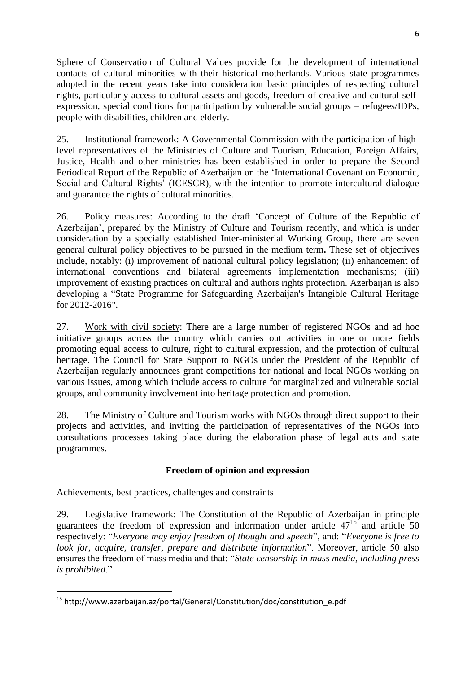Sphere of Conservation of Cultural Values provide for the development of international contacts of cultural minorities with their historical motherlands. Various state programmes adopted in the recent years take into consideration basic principles of respecting cultural rights, particularly access to cultural assets and goods, freedom of creative and cultural selfexpression, special conditions for participation by vulnerable social groups – refugees/IDPs, people with disabilities, children and elderly.

25. Institutional framework: A Governmental Commission with the participation of highlevel representatives of the Ministries of Culture and Tourism, Education, Foreign Affairs, Justice, Health and other ministries has been established in order to prepare the Second Periodical Report of the Republic of Azerbaijan on the "International Covenant on Economic, Social and Cultural Rights' (ICESCR), with the intention to promote intercultural dialogue and guarantee the rights of cultural minorities.

26. Policy measures: According to the draft "Concept of Culture of the Republic of Azerbaijan", prepared by the Ministry of Culture and Tourism recently, and which is under consideration by a specially established Inter-ministerial Working Group, there are seven general cultural policy objectives to be pursued in the medium term**.** These set of objectives include, notably: (i) improvement of national cultural policy legislation; (ii) enhancement of international conventions and bilateral agreements implementation mechanisms; (iii) improvement of existing practices on cultural and authors rights protection. Azerbaijan is also developing a "State Programme for Safeguarding Azerbaijan's Intangible Cultural Heritage for 2012-2016".

27. Work with civil society: There are a large number of registered NGOs and ad hoc initiative groups across the country which carries out activities in one or more fields promoting equal access to culture, right to cultural expression, and the protection of cultural heritage. The Council for State Support to NGOs under the President of the Republic of Azerbaijan regularly announces grant competitions for national and local NGOs working on various issues, among which include access to culture for marginalized and vulnerable social groups, and community involvement into heritage protection and promotion.

28. The Ministry of Culture and Tourism works with NGOs through direct support to their projects and activities, and inviting the participation of representatives of the NGOs into consultations processes taking place during the elaboration phase of legal acts and state programmes.

## **Freedom of opinion and expression**

## Achievements, best practices, challenges and constraints

**.** 

29. Legislative framework: The Constitution of the Republic of Azerbaijan in principle guarantees the freedom of expression and information under article  $47^{15}$  and article 50 respectively: "*Everyone may enjoy freedom of thought and speech*", and: "*Everyone is free to look for, acquire, transfer, prepare and distribute information*". Moreover, article 50 also ensures the freedom of mass media and that: "*State censorship in mass media, including press is prohibited*."

<sup>15</sup> http://www.azerbaijan.az/portal/General/Constitution/doc/constitution\_e.pdf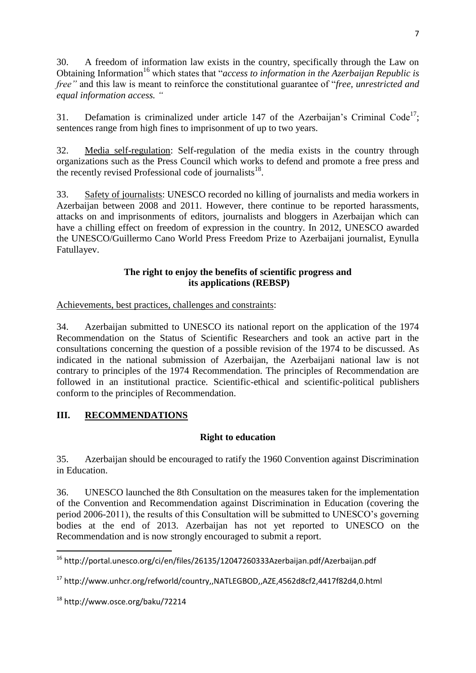30. A freedom of information law exists in the country, specifically through the Law on Obtaining Information <sup>16</sup> which states that "*access to information in the Azerbaijan Republic is free"* and this law is meant to reinforce the constitutional guarantee of "*free, unrestricted and equal information access. "*

31. Defamation is criminalized under article 147 of the Azerbaijan's Criminal Code<sup>17</sup>; sentences range from high fines to imprisonment of up to two years.

32. Media self-regulation: Self-regulation of the media exists in the country through organizations such as the Press Council which works to defend and promote a free press and the recently revised Professional code of journalists<sup>18</sup>.

33. Safety of journalists: UNESCO recorded no killing of journalists and media workers in Azerbaijan between 2008 and 2011. However, there continue to be reported harassments, attacks on and imprisonments of editors, journalists and bloggers in Azerbaijan which can have a chilling effect on freedom of expression in the country. In 2012, UNESCO awarded the UNESCO/Guillermo Cano World Press Freedom Prize to Azerbaijani journalist, Eynulla Fatullayev.

## **The right to enjoy the benefits of scientific progress and its applications (REBSP)**

Achievements, best practices, challenges and constraints:

34. Azerbaijan submitted to UNESCO its national report on the application of the 1974 Recommendation on the Status of Scientific Researchers and took an active part in the consultations concerning the question of a possible revision of the 1974 to be discussed. As indicated in the national submission of Azerbaijan, the Azerbaijani national law is not contrary to principles of the 1974 Recommendation. The principles of Recommendation are followed in an institutional practice. Scientific-ethical and scientific-political publishers conform to the principles of Recommendation.

# **III. RECOMMENDATIONS**

# **Right to education**

35. Azerbaijan should be encouraged to ratify the 1960 Convention against Discrimination in Education.

36. UNESCO launched the 8th Consultation on the measures taken for the implementation of the Convention and Recommendation against Discrimination in Education (covering the period 2006-2011), the results of this Consultation will be submitted to UNESCO"s governing bodies at the end of 2013. Azerbaijan has not yet reported to UNESCO on the Recommendation and is now strongly encouraged to submit a report.

**.** 

<sup>16</sup> http://portal.unesco.org/ci/en/files/26135/12047260333Azerbaijan.pdf/Azerbaijan.pdf

<sup>17</sup> http://www.unhcr.org/refworld/country,,NATLEGBOD,,AZE,4562d8cf2,4417f82d4,0.html

<sup>18</sup> http://www.osce.org/baku/72214